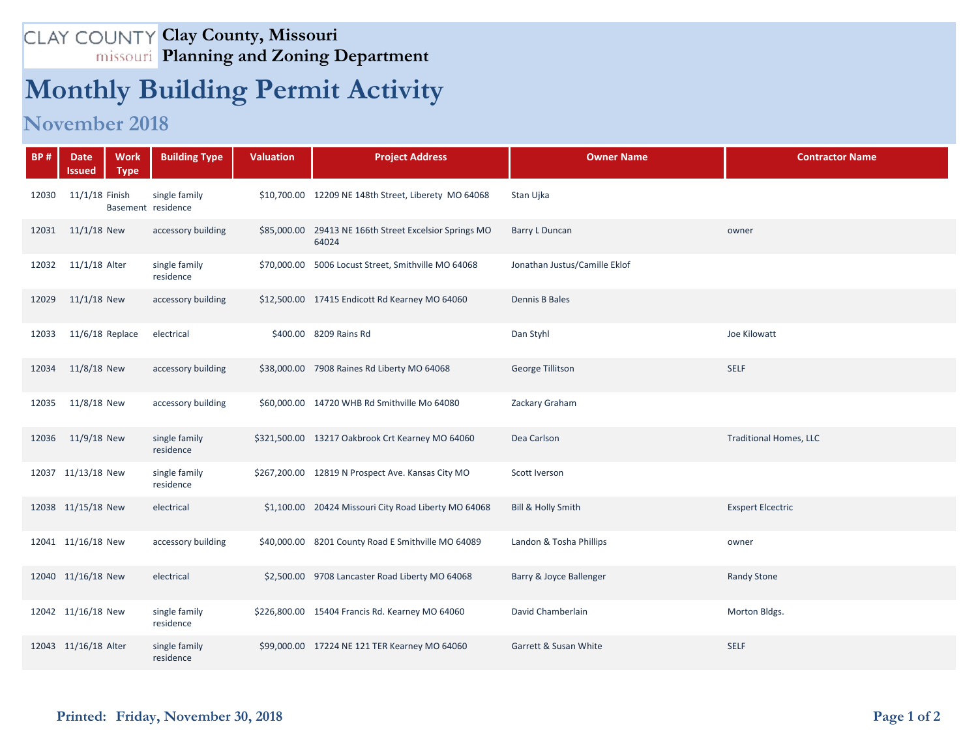## **Clay County, Missouri Planning and Zoning Department**

## **Monthly Building Permit Activity**

## **November 2018**

| <b>BP#</b> | <b>Date</b><br>Issued | <b>Work</b><br><b>Type</b> | <b>Building Type</b>                | <b>Valuation</b> | <b>Project Address</b>                                          | <b>Owner Name</b>             | <b>Contractor Name</b>        |
|------------|-----------------------|----------------------------|-------------------------------------|------------------|-----------------------------------------------------------------|-------------------------------|-------------------------------|
| 12030      | 11/1/18 Finish        |                            | single family<br>Basement residence |                  | \$10,700.00 12209 NE 148th Street, Liberety MO 64068            | Stan Ujka                     |                               |
| 12031      | $11/1/18$ New         |                            | accessory building                  |                  | \$85,000.00 29413 NE 166th Street Excelsior Springs MO<br>64024 | <b>Barry L Duncan</b>         | owner                         |
| 12032      | 11/1/18 Alter         |                            | single family<br>residence          |                  | \$70,000.00 5006 Locust Street, Smithville MO 64068             | Jonathan Justus/Camille Eklof |                               |
| 12029      | $11/1/18$ New         |                            | accessory building                  |                  | \$12,500.00 17415 Endicott Rd Kearney MO 64060                  | Dennis B Bales                |                               |
| 12033      | $11/6/18$ Replace     |                            | electrical                          |                  | \$400.00 8209 Rains Rd                                          | Dan Styhl                     | Joe Kilowatt                  |
| 12034      | 11/8/18 New           |                            | accessory building                  |                  | \$38,000.00 7908 Raines Rd Liberty MO 64068                     | George Tillitson              | <b>SELF</b>                   |
| 12035      | 11/8/18 New           |                            | accessory building                  |                  | \$60,000.00 14720 WHB Rd Smithville Mo 64080                    | Zackary Graham                |                               |
| 12036      | 11/9/18 New           |                            | single family<br>residence          |                  | \$321,500.00 13217 Oakbrook Crt Kearney MO 64060                | Dea Carlson                   | <b>Traditional Homes, LLC</b> |
|            | 12037 11/13/18 New    |                            | single family<br>residence          |                  | \$267,200.00 12819 N Prospect Ave. Kansas City MO               | Scott Iverson                 |                               |
|            | 12038 11/15/18 New    |                            | electrical                          |                  | \$1,100.00 20424 Missouri City Road Liberty MO 64068            | <b>Bill &amp; Holly Smith</b> | <b>Exspert Elcectric</b>      |
|            | 12041 11/16/18 New    |                            | accessory building                  |                  | \$40,000.00 8201 County Road E Smithville MO 64089              | Landon & Tosha Phillips       | owner                         |
|            | 12040 11/16/18 New    |                            | electrical                          |                  | \$2,500.00 9708 Lancaster Road Liberty MO 64068                 | Barry & Joyce Ballenger       | <b>Randy Stone</b>            |
|            | 12042 11/16/18 New    |                            | single family<br>residence          |                  | \$226,800.00 15404 Francis Rd. Kearney MO 64060                 | David Chamberlain             | Morton Bldgs.                 |
|            | 12043 11/16/18 Alter  |                            | single family<br>residence          |                  | \$99,000.00 17224 NE 121 TER Kearney MO 64060                   | Garrett & Susan White         | <b>SELF</b>                   |